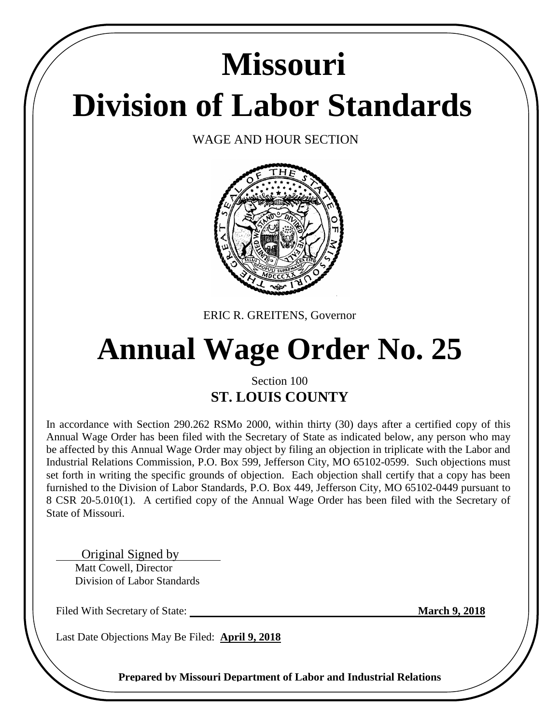# **Division of Labor Standards Missouri**

WAGE AND HOUR SECTION



ERIC R. GREITENS, Governor

# **Annual Wage Order No. 25**

# Section 100 **ST. LOUIS COUNTY**

In accordance with Section 290.262 RSMo 2000, within thirty (30) days after a certified copy of this Annual Wage Order has been filed with the Secretary of State as indicated below, any person who may be affected by this Annual Wage Order may object by filing an objection in triplicate with the Labor and Industrial Relations Commission, P.O. Box 599, Jefferson City, MO 65102-0599. Such objections must set forth in writing the specific grounds of objection. Each objection shall certify that a copy has been furnished to the Division of Labor Standards, P.O. Box 449, Jefferson City, MO 65102-0449 pursuant to 8 CSR 20-5.010(1). A certified copy of the Annual Wage Order has been filed with the Secretary of State of Missouri.

 Original Signed by Matt Cowell, Director Division of Labor Standards

Filed With Secretary of State: **March 9, 2018** 

Last Date Objections May Be Filed: **April 9, 2018**

**Prepared by Missouri Department of Labor and Industrial Relations**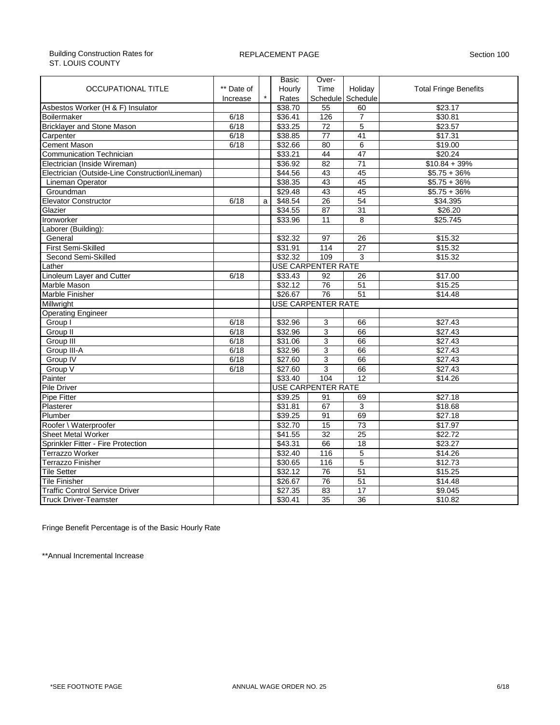#### Building Construction Rates for ST. LOUIS COUNTY

#### REPLACEMENT PAGE Section 100

|                                                 |                           |   | Basic   | Over-                     |                 |                              |  |  |
|-------------------------------------------------|---------------------------|---|---------|---------------------------|-----------------|------------------------------|--|--|
| <b>OCCUPATIONAL TITLE</b>                       | ** Date of                |   | Hourly  | Time                      | Holiday         | <b>Total Fringe Benefits</b> |  |  |
|                                                 | Increase                  |   | Rates   | Schedule                  | Schedule        |                              |  |  |
| Asbestos Worker (H & F) Insulator               |                           |   | \$38.70 | 55                        | 60              | \$23.17                      |  |  |
| Boilermaker                                     | 6/18                      |   | \$36.41 | 126                       | $\overline{7}$  | \$30.81                      |  |  |
| <b>Bricklayer and Stone Mason</b>               | 6/18                      |   | \$33.25 | 72                        | 5               | \$23.57                      |  |  |
| Carpenter                                       | 6/18                      |   | \$38.85 | $\overline{77}$           | 41              | \$17.31                      |  |  |
| <b>Cement Mason</b>                             | 6/18                      |   | \$32.66 | 80                        | 6               | \$19.00                      |  |  |
| <b>Communication Technician</b>                 |                           |   | \$33.21 | 44                        | 47              | \$20.24                      |  |  |
| Electrician (Inside Wireman)                    |                           |   | \$36.92 | 82                        | $\overline{71}$ | $$10.84 + 39\%$              |  |  |
| Electrician (Outside-Line Construction\Lineman) |                           |   | \$44.56 | 43                        | 45              | $$5.75 + 36\%$               |  |  |
| Lineman Operator                                |                           |   | \$38.35 | 43                        | 45              | $$5.75 + 36\%$               |  |  |
| Groundman                                       |                           |   | \$29.48 | 43                        | 45              | $$5.75 + 36\%$               |  |  |
| <b>Elevator Constructor</b>                     | 6/18                      | a | \$48.54 | $\overline{26}$           | $\overline{54}$ | \$34.395                     |  |  |
| Glazier                                         |                           |   | \$34.55 | $\overline{87}$           | 31              | \$26.20                      |  |  |
| Ironworker                                      |                           |   | \$33.96 | 11                        | 8               | \$25.745                     |  |  |
| Laborer (Building):                             |                           |   |         |                           |                 |                              |  |  |
| General                                         |                           |   | \$32.32 | 97                        | 26              | \$15.32                      |  |  |
| First Semi-Skilled                              |                           |   | \$31.91 | 114                       | 27              | \$15.32                      |  |  |
| Second Semi-Skilled                             |                           |   | \$32.32 | 109                       | 3               | \$15.32                      |  |  |
| Lather                                          | <b>USE CARPENTER RATE</b> |   |         |                           |                 |                              |  |  |
| Linoleum Layer and Cutter                       | 6/18                      |   | \$33.43 | 92                        | 26              | \$17.00                      |  |  |
| Marble Mason                                    |                           |   | \$32.12 | 76                        | 51              | \$15.25                      |  |  |
| Marble Finisher                                 |                           |   | \$26.67 | $\overline{76}$           | 51              | \$14.48                      |  |  |
| Millwright                                      |                           |   |         | <b>USE CARPENTER RATE</b> |                 |                              |  |  |
| <b>Operating Engineer</b>                       |                           |   |         |                           |                 |                              |  |  |
| Group I                                         | 6/18                      |   | \$32.96 | 3                         | 66              | \$27.43                      |  |  |
| Group II                                        | 6/18                      |   | \$32.96 | 3                         | 66              | \$27.43                      |  |  |
| Group III                                       | 6/18                      |   | \$31.06 | 3                         | 66              | \$27.43                      |  |  |
| Group III-A                                     | 6/18                      |   | \$32.96 | 3                         | 66              | \$27.43                      |  |  |
| Group IV                                        | 6/18                      |   | \$27.60 | 3                         | 66              | \$27.43                      |  |  |
| Group V                                         | 6/18                      |   | \$27.60 | 3                         | 66              | \$27.43                      |  |  |
| Painter                                         |                           |   | \$33.40 | 104                       | 12              | \$14.26                      |  |  |
| Pile Driver                                     |                           |   |         | <b>USE CARPENTER RATE</b> |                 |                              |  |  |
| Pipe Fitter                                     |                           |   | \$39.25 | 91                        | 69              | \$27.18                      |  |  |
| Plasterer                                       |                           |   | \$31.81 | 67                        | 3               | \$18.68                      |  |  |
| Plumber                                         |                           |   | \$39.25 | 91                        | 69              | \$27.18                      |  |  |
| Roofer \ Waterproofer                           |                           |   | \$32.70 | 15                        | 73              | \$17.97                      |  |  |
| <b>Sheet Metal Worker</b>                       |                           |   | \$41.55 | $\overline{32}$           | $\overline{25}$ | \$22.72                      |  |  |
| Sprinkler Fitter - Fire Protection              |                           |   | \$43.31 | 66                        | 18              | \$23.27                      |  |  |
| Terrazzo Worker                                 |                           |   | \$32.40 | 116                       | 5               | \$14.26                      |  |  |
| <b>Terrazzo Finisher</b>                        |                           |   | \$30.65 | 116                       | 5               | \$12.73                      |  |  |
| <b>Tile Setter</b>                              |                           |   | \$32.12 | 76                        | $\overline{51}$ | \$15.25                      |  |  |
| <b>Tile Finisher</b>                            |                           |   | \$26.67 | 76                        | 51              | \$14.48                      |  |  |
| <b>Traffic Control Service Driver</b>           |                           |   | \$27.35 | 83                        | 17              | \$9.045                      |  |  |
| <b>Truck Driver-Teamster</b>                    |                           |   | \$30.41 | $\overline{35}$           | $\overline{36}$ | \$10.82                      |  |  |
|                                                 |                           |   |         |                           |                 |                              |  |  |

Fringe Benefit Percentage is of the Basic Hourly Rate

\*\*Annual Incremental Increase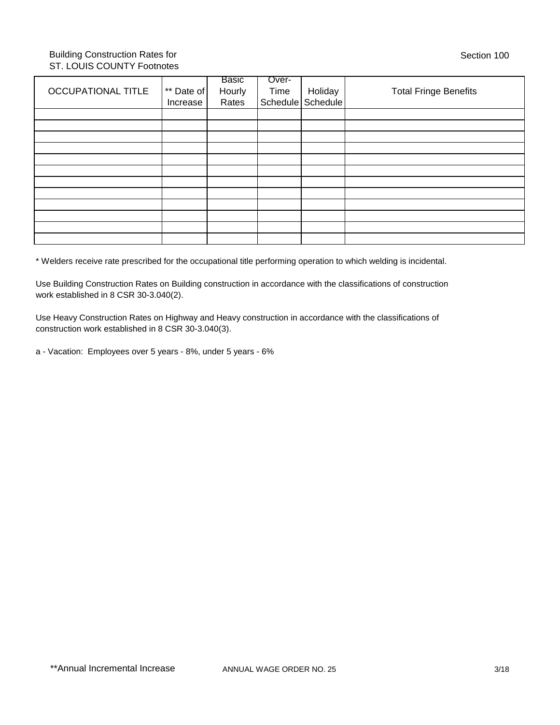#### Building Construction Rates for ST. LOUIS COUNTY Footnotes

|                           |            | Basic  | Over- |                   |                              |
|---------------------------|------------|--------|-------|-------------------|------------------------------|
| <b>OCCUPATIONAL TITLE</b> | ** Date of | Hourly | Time  | Holiday           | <b>Total Fringe Benefits</b> |
|                           | Increase   | Rates  |       | Schedule Schedule |                              |
|                           |            |        |       |                   |                              |
|                           |            |        |       |                   |                              |
|                           |            |        |       |                   |                              |
|                           |            |        |       |                   |                              |
|                           |            |        |       |                   |                              |
|                           |            |        |       |                   |                              |
|                           |            |        |       |                   |                              |
|                           |            |        |       |                   |                              |
|                           |            |        |       |                   |                              |
|                           |            |        |       |                   |                              |
|                           |            |        |       |                   |                              |
|                           |            |        |       |                   |                              |
|                           |            |        |       |                   |                              |

\* Welders receive rate prescribed for the occupational title performing operation to which welding is incidental.

Use Building Construction Rates on Building construction in accordance with the classifications of construction work established in 8 CSR 30-3.040(2).

Use Heavy Construction Rates on Highway and Heavy construction in accordance with the classifications of construction work established in 8 CSR 30-3.040(3).

a - Vacation: Employees over 5 years - 8%, under 5 years - 6%

Section 100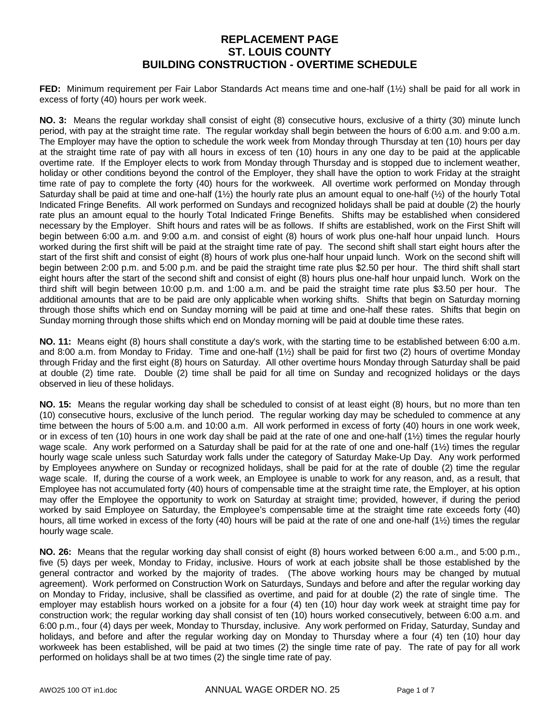**FED:** Minimum requirement per Fair Labor Standards Act means time and one-half (1½) shall be paid for all work in excess of forty (40) hours per work week.

**NO. 3:** Means the regular workday shall consist of eight (8) consecutive hours, exclusive of a thirty (30) minute lunch period, with pay at the straight time rate. The regular workday shall begin between the hours of 6:00 a.m. and 9:00 a.m. The Employer may have the option to schedule the work week from Monday through Thursday at ten (10) hours per day at the straight time rate of pay with all hours in excess of ten (10) hours in any one day to be paid at the applicable overtime rate. If the Employer elects to work from Monday through Thursday and is stopped due to inclement weather, holiday or other conditions beyond the control of the Employer, they shall have the option to work Friday at the straight time rate of pay to complete the forty (40) hours for the workweek. All overtime work performed on Monday through Saturday shall be paid at time and one-half  $(1\frac{1}{2})$  the hourly rate plus an amount equal to one-half  $(1\frac{1}{2})$  of the hourly Total Indicated Fringe Benefits. All work performed on Sundays and recognized holidays shall be paid at double (2) the hourly rate plus an amount equal to the hourly Total Indicated Fringe Benefits. Shifts may be established when considered necessary by the Employer. Shift hours and rates will be as follows. If shifts are established, work on the First Shift will begin between 6:00 a.m. and 9:00 a.m. and consist of eight (8) hours of work plus one-half hour unpaid lunch. Hours worked during the first shift will be paid at the straight time rate of pay. The second shift shall start eight hours after the start of the first shift and consist of eight (8) hours of work plus one-half hour unpaid lunch. Work on the second shift will begin between 2:00 p.m. and 5:00 p.m. and be paid the straight time rate plus \$2.50 per hour. The third shift shall start eight hours after the start of the second shift and consist of eight (8) hours plus one-half hour unpaid lunch. Work on the third shift will begin between 10:00 p.m. and 1:00 a.m. and be paid the straight time rate plus \$3.50 per hour. The additional amounts that are to be paid are only applicable when working shifts. Shifts that begin on Saturday morning through those shifts which end on Sunday morning will be paid at time and one-half these rates. Shifts that begin on Sunday morning through those shifts which end on Monday morning will be paid at double time these rates.

**NO. 11:** Means eight (8) hours shall constitute a day's work, with the starting time to be established between 6:00 a.m. and 8:00 a.m. from Monday to Friday. Time and one-half (1½) shall be paid for first two (2) hours of overtime Monday through Friday and the first eight (8) hours on Saturday. All other overtime hours Monday through Saturday shall be paid at double (2) time rate. Double (2) time shall be paid for all time on Sunday and recognized holidays or the days observed in lieu of these holidays.

**NO. 15:** Means the regular working day shall be scheduled to consist of at least eight (8) hours, but no more than ten (10) consecutive hours, exclusive of the lunch period. The regular working day may be scheduled to commence at any time between the hours of 5:00 a.m. and 10:00 a.m. All work performed in excess of forty (40) hours in one work week, or in excess of ten (10) hours in one work day shall be paid at the rate of one and one-half (1 $\frac{1}{2}$ ) times the regular hourly wage scale. Any work performed on a Saturday shall be paid for at the rate of one and one-half (1½) times the regular hourly wage scale unless such Saturday work falls under the category of Saturday Make-Up Day. Any work performed by Employees anywhere on Sunday or recognized holidays, shall be paid for at the rate of double (2) time the regular wage scale. If, during the course of a work week, an Employee is unable to work for any reason, and, as a result, that Employee has not accumulated forty (40) hours of compensable time at the straight time rate, the Employer, at his option may offer the Employee the opportunity to work on Saturday at straight time; provided, however, if during the period worked by said Employee on Saturday, the Employee's compensable time at the straight time rate exceeds forty (40) hours, all time worked in excess of the forty (40) hours will be paid at the rate of one and one-half (1½) times the regular hourly wage scale.

**NO. 26:** Means that the regular working day shall consist of eight (8) hours worked between 6:00 a.m., and 5:00 p.m., five (5) days per week, Monday to Friday, inclusive. Hours of work at each jobsite shall be those established by the general contractor and worked by the majority of trades. (The above working hours may be changed by mutual agreement). Work performed on Construction Work on Saturdays, Sundays and before and after the regular working day on Monday to Friday, inclusive, shall be classified as overtime, and paid for at double (2) the rate of single time. The employer may establish hours worked on a jobsite for a four (4) ten (10) hour day work week at straight time pay for construction work; the regular working day shall consist of ten (10) hours worked consecutively, between 6:00 a.m. and 6:00 p.m., four (4) days per week, Monday to Thursday, inclusive. Any work performed on Friday, Saturday, Sunday and holidays, and before and after the regular working day on Monday to Thursday where a four (4) ten (10) hour day workweek has been established, will be paid at two times (2) the single time rate of pay.The rate of pay for all work performed on holidays shall be at two times (2) the single time rate of pay.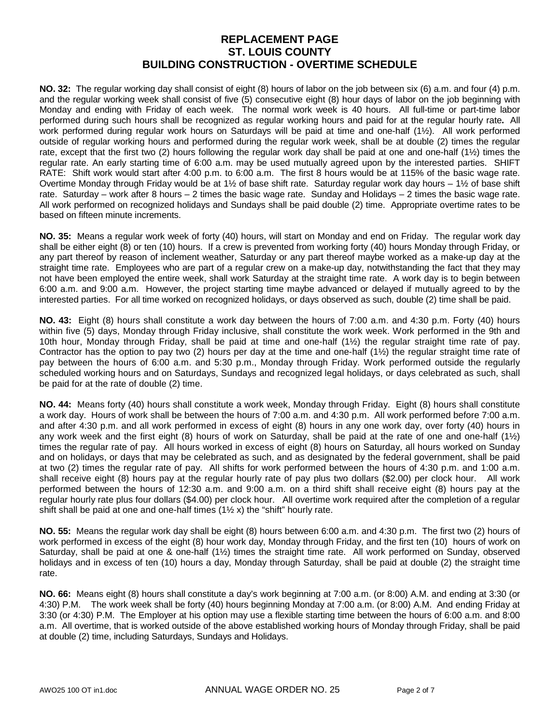**NO. 32:** The regular working day shall consist of eight (8) hours of labor on the job between six (6) a.m. and four (4) p.m. and the regular working week shall consist of five (5) consecutive eight (8) hour days of labor on the job beginning with Monday and ending with Friday of each week. The normal work week is 40 hours. All full-time or part-time labor performed during such hours shall be recognized as regular working hours and paid for at the regular hourly rate**.** All work performed during regular work hours on Saturdays will be paid at time and one-half (1½). All work performed outside of regular working hours and performed during the regular work week, shall be at double (2) times the regular rate, except that the first two (2) hours following the regular work day shall be paid at one and one-half (1½) times the regular rate. An early starting time of 6:00 a.m. may be used mutually agreed upon by the interested parties. SHIFT RATE:Shift work would start after 4:00 p.m. to 6:00 a.m. The first 8 hours would be at 115% of the basic wage rate. Overtime Monday through Friday would be at 1½ of base shift rate. Saturday regular work day hours  $-1\frac{1}{2}$  of base shift rate. Saturday – work after 8 hours – 2 times the basic wage rate. Sunday and Holidays – 2 times the basic wage rate. All work performed on recognized holidays and Sundays shall be paid double (2) time. Appropriate overtime rates to be based on fifteen minute increments.

**NO. 35:** Means a regular work week of forty (40) hours, will start on Monday and end on Friday. The regular work day shall be either eight (8) or ten (10) hours. If a crew is prevented from working forty (40) hours Monday through Friday, or any part thereof by reason of inclement weather, Saturday or any part thereof maybe worked as a make-up day at the straight time rate. Employees who are part of a regular crew on a make-up day, notwithstanding the fact that they may not have been employed the entire week, shall work Saturday at the straight time rate. A work day is to begin between 6:00 a.m. and 9:00 a.m. However, the project starting time maybe advanced or delayed if mutually agreed to by the interested parties. For all time worked on recognized holidays, or days observed as such, double (2) time shall be paid.

**NO. 43:** Eight (8) hours shall constitute a work day between the hours of 7:00 a.m. and 4:30 p.m. Forty (40) hours within five (5) days, Monday through Friday inclusive, shall constitute the work week. Work performed in the 9th and 10th hour, Monday through Friday, shall be paid at time and one-half (1½) the regular straight time rate of pay. Contractor has the option to pay two (2) hours per day at the time and one-half (1½) the regular straight time rate of pay between the hours of 6:00 a.m. and 5:30 p.m., Monday through Friday. Work performed outside the regularly scheduled working hours and on Saturdays, Sundays and recognized legal holidays, or days celebrated as such, shall be paid for at the rate of double (2) time.

**NO. 44:** Means forty (40) hours shall constitute a work week, Monday through Friday. Eight (8) hours shall constitute a work day. Hours of work shall be between the hours of 7:00 a.m. and 4:30 p.m. All work performed before 7:00 a.m. and after 4:30 p.m. and all work performed in excess of eight (8) hours in any one work day, over forty (40) hours in any work week and the first eight (8) hours of work on Saturday, shall be paid at the rate of one and one-half  $(1/2)$ times the regular rate of pay. All hours worked in excess of eight (8) hours on Saturday, all hours worked on Sunday and on holidays, or days that may be celebrated as such, and as designated by the federal government, shall be paid at two (2) times the regular rate of pay. All shifts for work performed between the hours of 4:30 p.m. and 1:00 a.m. shall receive eight (8) hours pay at the regular hourly rate of pay plus two dollars (\$2.00) per clock hour. All work performed between the hours of 12:30 a.m. and 9:00 a.m. on a third shift shall receive eight (8) hours pay at the regular hourly rate plus four dollars (\$4.00) per clock hour. All overtime work required after the completion of a regular shift shall be paid at one and one-half times  $(1\frac{1}{2}x)$  the "shift" hourly rate.

**NO. 55:** Means the regular work day shall be eight (8) hours between 6:00 a.m. and 4:30 p.m. The first two (2) hours of work performed in excess of the eight (8) hour work day, Monday through Friday, and the first ten (10) hours of work on Saturday, shall be paid at one & one-half (1½) times the straight time rate. All work performed on Sunday, observed holidays and in excess of ten (10) hours a day, Monday through Saturday, shall be paid at double (2) the straight time rate.

**NO. 66:** Means eight (8) hours shall constitute a day's work beginning at 7:00 a.m. (or 8:00) A.M. and ending at 3:30 (or 4:30) P.M. The work week shall be forty (40) hours beginning Monday at 7:00 a.m. (or 8:00) A.M. And ending Friday at 3:30 (or 4:30) P.M. The Employer at his option may use a flexible starting time between the hours of 6:00 a.m. and 8:00 a.m. All overtime, that is worked outside of the above established working hours of Monday through Friday, shall be paid at double (2) time, including Saturdays, Sundays and Holidays.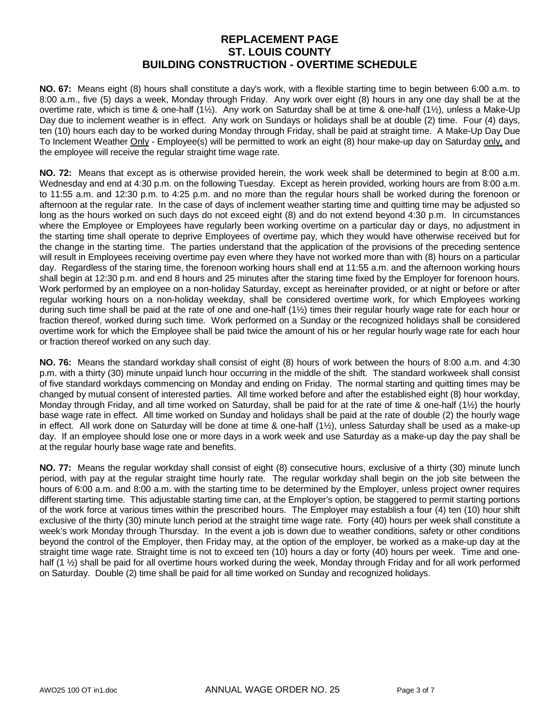**NO. 67:** Means eight (8) hours shall constitute a day's work, with a flexible starting time to begin between 6:00 a.m. to 8:00 a.m., five (5) days a week, Monday through Friday. Any work over eight (8) hours in any one day shall be at the overtime rate, which is time & one-half (1½). Any work on Saturday shall be at time & one-half (1½), unless a Make-Up Day due to inclement weather is in effect. Any work on Sundays or holidays shall be at double (2) time. Four (4) days, ten (10) hours each day to be worked during Monday through Friday, shall be paid at straight time. A Make-Up Day Due To Inclement Weather Only - Employee(s) will be permitted to work an eight (8) hour make-up day on Saturday only, and the employee will receive the regular straight time wage rate.

**NO. 72:** Means that except as is otherwise provided herein, the work week shall be determined to begin at 8:00 a.m. Wednesday and end at 4:30 p.m. on the following Tuesday. Except as herein provided, working hours are from 8:00 a.m. to 11:55 a.m. and 12:30 p.m. to 4:25 p.m. and no more than the regular hours shall be worked during the forenoon or afternoon at the regular rate. In the case of days of inclement weather starting time and quitting time may be adjusted so long as the hours worked on such days do not exceed eight (8) and do not extend beyond 4:30 p.m. In circumstances where the Employee or Employees have regularly been working overtime on a particular day or days, no adjustment in the starting time shall operate to deprive Employees of overtime pay, which they would have otherwise received but for the change in the starting time. The parties understand that the application of the provisions of the preceding sentence will result in Employees receiving overtime pay even where they have not worked more than with (8) hours on a particular day. Regardless of the staring time, the forenoon working hours shall end at 11:55 a.m. and the afternoon working hours shall begin at 12:30 p.m. and end 8 hours and 25 minutes after the staring time fixed by the Employer for forenoon hours. Work performed by an employee on a non-holiday Saturday, except as hereinafter provided, or at night or before or after regular working hours on a non-holiday weekday, shall be considered overtime work, for which Employees working during such time shall be paid at the rate of one and one-half (1½) times their regular hourly wage rate for each hour or fraction thereof, worked during such time. Work performed on a Sunday or the recognized holidays shall be considered overtime work for which the Employee shall be paid twice the amount of his or her regular hourly wage rate for each hour or fraction thereof worked on any such day.

**NO. 76:** Means the standard workday shall consist of eight (8) hours of work between the hours of 8:00 a.m. and 4:30 p.m. with a thirty (30) minute unpaid lunch hour occurring in the middle of the shift. The standard workweek shall consist of five standard workdays commencing on Monday and ending on Friday. The normal starting and quitting times may be changed by mutual consent of interested parties. All time worked before and after the established eight (8) hour workday, Monday through Friday, and all time worked on Saturday, shall be paid for at the rate of time & one-half (1½) the hourly base wage rate in effect. All time worked on Sunday and holidays shall be paid at the rate of double (2) the hourly wage in effect. All work done on Saturday will be done at time & one-half (1½), unless Saturday shall be used as a make-up day. If an employee should lose one or more days in a work week and use Saturday as a make-up day the pay shall be at the regular hourly base wage rate and benefits.

**NO. 77:** Means the regular workday shall consist of eight (8) consecutive hours, exclusive of a thirty (30) minute lunch period, with pay at the regular straight time hourly rate. The regular workday shall begin on the job site between the hours of 6:00 a.m. and 8:00 a.m. with the starting time to be determined by the Employer, unless project owner requires different starting time. This adjustable starting time can, at the Employer's option, be staggered to permit starting portions of the work force at various times within the prescribed hours. The Employer may establish a four (4) ten (10) hour shift exclusive of the thirty (30) minute lunch period at the straight time wage rate. Forty (40) hours per week shall constitute a week's work Monday through Thursday. In the event a job is down due to weather conditions, safety or other conditions beyond the control of the Employer, then Friday may, at the option of the employer, be worked as a make-up day at the straight time wage rate. Straight time is not to exceed ten (10) hours a day or forty (40) hours per week. Time and onehalf (1  $\frac{1}{2}$ ) shall be paid for all overtime hours worked during the week, Monday through Friday and for all work performed on Saturday. Double (2) time shall be paid for all time worked on Sunday and recognized holidays.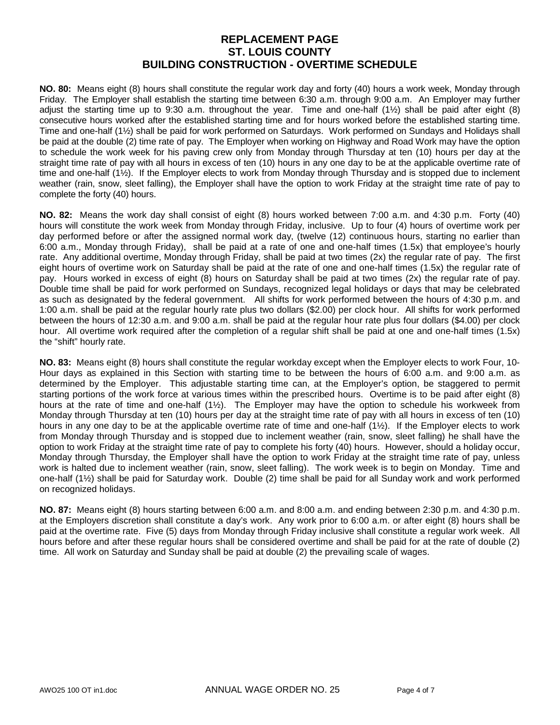**NO. 80:** Means eight (8) hours shall constitute the regular work day and forty (40) hours a work week, Monday through Friday. The Employer shall establish the starting time between 6:30 a.m. through 9:00 a.m. An Employer may further adjust the starting time up to 9:30 a.m. throughout the year. Time and one-half (1½) shall be paid after eight (8) consecutive hours worked after the established starting time and for hours worked before the established starting time. Time and one-half (1½) shall be paid for work performed on Saturdays. Work performed on Sundays and Holidays shall be paid at the double (2) time rate of pay. The Employer when working on Highway and Road Work may have the option to schedule the work week for his paving crew only from Monday through Thursday at ten (10) hours per day at the straight time rate of pay with all hours in excess of ten (10) hours in any one day to be at the applicable overtime rate of time and one-half (1½). If the Employer elects to work from Monday through Thursday and is stopped due to inclement weather (rain, snow, sleet falling), the Employer shall have the option to work Friday at the straight time rate of pay to complete the forty (40) hours.

**NO. 82:** Means the work day shall consist of eight (8) hours worked between 7:00 a.m. and 4:30 p.m. Forty (40) hours will constitute the work week from Monday through Friday, inclusive. Up to four (4) hours of overtime work per day performed before or after the assigned normal work day, (twelve (12) continuous hours, starting no earlier than 6:00 a.m., Monday through Friday), shall be paid at a rate of one and one-half times (1.5x) that employee's hourly rate. Any additional overtime, Monday through Friday, shall be paid at two times (2x) the regular rate of pay. The first eight hours of overtime work on Saturday shall be paid at the rate of one and one-half times (1.5x) the regular rate of pay. Hours worked in excess of eight (8) hours on Saturday shall be paid at two times (2x) the regular rate of pay. Double time shall be paid for work performed on Sundays, recognized legal holidays or days that may be celebrated as such as designated by the federal government. All shifts for work performed between the hours of 4:30 p.m. and 1:00 a.m. shall be paid at the regular hourly rate plus two dollars (\$2.00) per clock hour. All shifts for work performed between the hours of 12:30 a.m. and 9:00 a.m. shall be paid at the regular hour rate plus four dollars (\$4.00) per clock hour. All overtime work required after the completion of a regular shift shall be paid at one and one-half times (1.5x) the "shift" hourly rate.

**NO. 83:** Means eight (8) hours shall constitute the regular workday except when the Employer elects to work Four, 10- Hour days as explained in this Section with starting time to be between the hours of 6:00 a.m. and 9:00 a.m. as determined by the Employer. This adjustable starting time can, at the Employer's option, be staggered to permit starting portions of the work force at various times within the prescribed hours. Overtime is to be paid after eight (8) hours at the rate of time and one-half (1½). The Employer may have the option to schedule his workweek from Monday through Thursday at ten (10) hours per day at the straight time rate of pay with all hours in excess of ten (10) hours in any one day to be at the applicable overtime rate of time and one-half (1½). If the Employer elects to work from Monday through Thursday and is stopped due to inclement weather (rain, snow, sleet falling) he shall have the option to work Friday at the straight time rate of pay to complete his forty (40) hours. However, should a holiday occur, Monday through Thursday, the Employer shall have the option to work Friday at the straight time rate of pay, unless work is halted due to inclement weather (rain, snow, sleet falling). The work week is to begin on Monday. Time and one-half (1½) shall be paid for Saturday work. Double (2) time shall be paid for all Sunday work and work performed on recognized holidays.

**NO. 87:** Means eight (8) hours starting between 6:00 a.m. and 8:00 a.m. and ending between 2:30 p.m. and 4:30 p.m. at the Employers discretion shall constitute a day's work. Any work prior to 6:00 a.m. or after eight (8) hours shall be paid at the overtime rate. Five (5) days from Monday through Friday inclusive shall constitute a regular work week. All hours before and after these regular hours shall be considered overtime and shall be paid for at the rate of double (2) time. All work on Saturday and Sunday shall be paid at double (2) the prevailing scale of wages.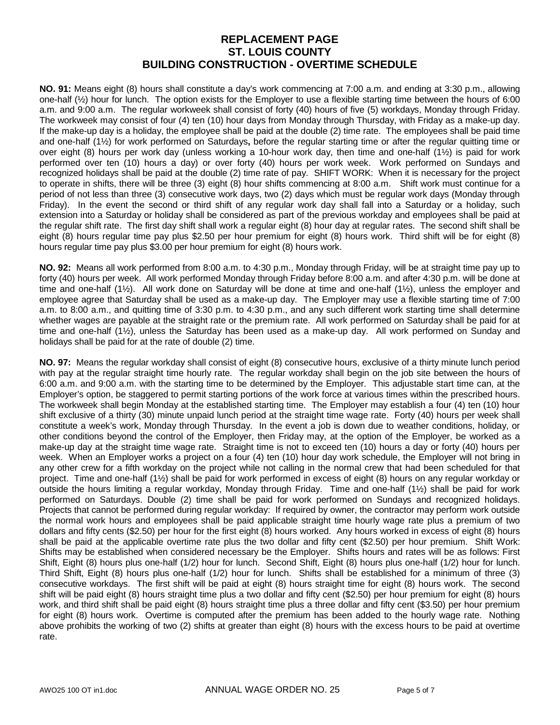**NO. 91:** Means eight (8) hours shall constitute a day's work commencing at 7:00 a.m. and ending at 3:30 p.m., allowing one-half (½) hour for lunch. The option exists for the Employer to use a flexible starting time between the hours of 6:00 a.m. and 9:00 a.m. The regular workweek shall consist of forty (40) hours of five (5) workdays, Monday through Friday. The workweek may consist of four (4) ten (10) hour days from Monday through Thursday, with Friday as a make-up day. If the make-up day is a holiday, the employee shall be paid at the double (2) time rate. The employees shall be paid time and one-half (1½) for work performed on Saturdays**,** before the regular starting time or after the regular quitting time or over eight (8) hours per work day (unless working a 10-hour work day, then time and one-half (1½) is paid for work performed over ten (10) hours a day) or over forty (40) hours per work week. Work performed on Sundays and recognized holidays shall be paid at the double (2) time rate of pay. SHIFT WORK: When it is necessary for the project to operate in shifts, there will be three (3) eight (8) hour shifts commencing at 8:00 a.m. Shift work must continue for a period of not less than three (3) consecutive work days, two (2) days which must be regular work days (Monday through Friday). In the event the second or third shift of any regular work day shall fall into a Saturday or a holiday, such extension into a Saturday or holiday shall be considered as part of the previous workday and employees shall be paid at the regular shift rate. The first day shift shall work a regular eight (8) hour day at regular rates. The second shift shall be eight (8) hours regular time pay plus \$2.50 per hour premium for eight (8) hours work. Third shift will be for eight (8) hours regular time pay plus \$3.00 per hour premium for eight (8) hours work.

**NO. 92:** Means all work performed from 8:00 a.m. to 4:30 p.m., Monday through Friday, will be at straight time pay up to forty (40) hours per week. All work performed Monday through Friday before 8:00 a.m. and after 4:30 p.m. will be done at time and one-half (1½). All work done on Saturday will be done at time and one-half (1½), unless the employer and employee agree that Saturday shall be used as a make-up day. The Employer may use a flexible starting time of 7:00 a.m. to 8:00 a.m., and quitting time of 3:30 p.m. to 4:30 p.m., and any such different work starting time shall determine whether wages are payable at the straight rate or the premium rate. All work performed on Saturday shall be paid for at time and one-half (1½), unless the Saturday has been used as a make-up day. All work performed on Sunday and holidays shall be paid for at the rate of double (2) time.

**NO. 97:** Means the regular workday shall consist of eight (8) consecutive hours, exclusive of a thirty minute lunch period with pay at the regular straight time hourly rate. The regular workday shall begin on the job site between the hours of 6:00 a.m. and 9:00 a.m. with the starting time to be determined by the Employer. This adjustable start time can, at the Employer's option, be staggered to permit starting portions of the work force at various times within the prescribed hours. The workweek shall begin Monday at the established starting time. The Employer may establish a four (4) ten (10) hour shift exclusive of a thirty (30) minute unpaid lunch period at the straight time wage rate. Forty (40) hours per week shall constitute a week's work, Monday through Thursday. In the event a job is down due to weather conditions, holiday, or other conditions beyond the control of the Employer, then Friday may, at the option of the Employer, be worked as a make-up day at the straight time wage rate. Straight time is not to exceed ten (10) hours a day or forty (40) hours per week. When an Employer works a project on a four (4) ten (10) hour day work schedule, the Employer will not bring in any other crew for a fifth workday on the project while not calling in the normal crew that had been scheduled for that project. Time and one-half (1½) shall be paid for work performed in excess of eight (8) hours on any regular workday or outside the hours limiting a regular workday, Monday through Friday. Time and one-half (1½) shall be paid for work performed on Saturdays. Double (2) time shall be paid for work performed on Sundays and recognized holidays. Projects that cannot be performed during regular workday: If required by owner, the contractor may perform work outside the normal work hours and employees shall be paid applicable straight time hourly wage rate plus a premium of two dollars and fifty cents (\$2.50) per hour for the first eight (8) hours worked. Any hours worked in excess of eight (8) hours shall be paid at the applicable overtime rate plus the two dollar and fifty cent (\$2.50) per hour premium. Shift Work: Shifts may be established when considered necessary be the Employer. Shifts hours and rates will be as follows: First Shift, Eight (8) hours plus one-half (1/2) hour for lunch. Second Shift, Eight (8) hours plus one-half (1/2) hour for lunch. Third Shift, Eight (8) hours plus one-half (1/2) hour for lunch. Shifts shall be established for a minimum of three (3) consecutive workdays. The first shift will be paid at eight (8) hours straight time for eight (8) hours work. The second shift will be paid eight (8) hours straight time plus a two dollar and fifty cent (\$2.50) per hour premium for eight (8) hours work, and third shift shall be paid eight (8) hours straight time plus a three dollar and fifty cent (\$3.50) per hour premium for eight (8) hours work. Overtime is computed after the premium has been added to the hourly wage rate. Nothing above prohibits the working of two (2) shifts at greater than eight (8) hours with the excess hours to be paid at overtime rate.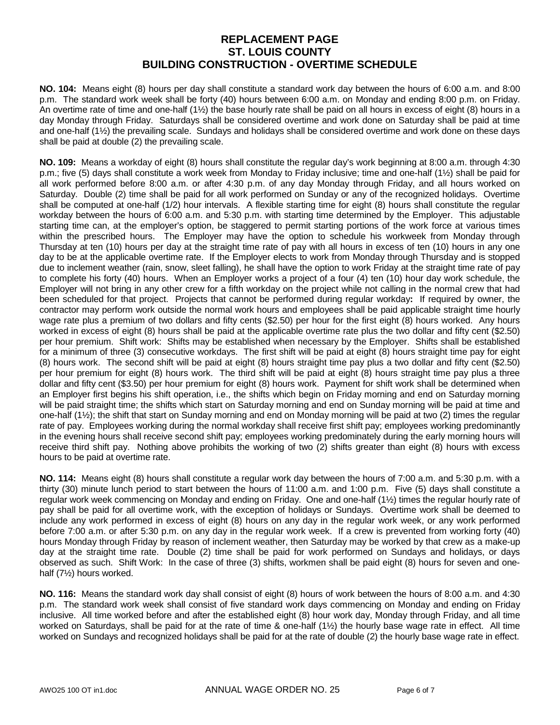**NO. 104:** Means eight (8) hours per day shall constitute a standard work day between the hours of 6:00 a.m. and 8:00 p.m. The standard work week shall be forty (40) hours between 6:00 a.m. on Monday and ending 8:00 p.m. on Friday. An overtime rate of time and one-half (1½) the base hourly rate shall be paid on all hours in excess of eight (8) hours in a day Monday through Friday. Saturdays shall be considered overtime and work done on Saturday shall be paid at time and one-half (1½) the prevailing scale. Sundays and holidays shall be considered overtime and work done on these days shall be paid at double (2) the prevailing scale.

**NO. 109:** Means a workday of eight (8) hours shall constitute the regular day's work beginning at 8:00 a.m. through 4:30 p.m.; five (5) days shall constitute a work week from Monday to Friday inclusive; time and one-half (1½) shall be paid for all work performed before 8:00 a.m. or after 4:30 p.m. of any day Monday through Friday, and all hours worked on Saturday. Double (2) time shall be paid for all work performed on Sunday or any of the recognized holidays. Overtime shall be computed at one-half (1/2) hour intervals. A flexible starting time for eight (8) hours shall constitute the regular workday between the hours of 6:00 a.m. and 5:30 p.m. with starting time determined by the Employer. This adjustable starting time can, at the employer's option, be staggered to permit starting portions of the work force at various times within the prescribed hours. The Employer may have the option to schedule his workweek from Monday through Thursday at ten (10) hours per day at the straight time rate of pay with all hours in excess of ten (10) hours in any one day to be at the applicable overtime rate. If the Employer elects to work from Monday through Thursday and is stopped due to inclement weather (rain, snow, sleet falling), he shall have the option to work Friday at the straight time rate of pay to complete his forty (40) hours. When an Employer works a project of a four (4) ten (10) hour day work schedule, the Employer will not bring in any other crew for a fifth workday on the project while not calling in the normal crew that had been scheduled for that project. Projects that cannot be performed during regular workday**:** If required by owner, the contractor may perform work outside the normal work hours and employees shall be paid applicable straight time hourly wage rate plus a premium of two dollars and fifty cents (\$2.50) per hour for the first eight (8) hours worked. Any hours worked in excess of eight (8) hours shall be paid at the applicable overtime rate plus the two dollar and fifty cent (\$2.50) per hour premium. Shift work:Shifts may be established when necessary by the Employer. Shifts shall be established for a minimum of three (3) consecutive workdays. The first shift will be paid at eight (8) hours straight time pay for eight (8) hours work. The second shift will be paid at eight (8) hours straight time pay plus a two dollar and fifty cent (\$2.50) per hour premium for eight (8) hours work. The third shift will be paid at eight (8) hours straight time pay plus a three dollar and fifty cent (\$3.50) per hour premium for eight (8) hours work. Payment for shift work shall be determined when an Employer first begins his shift operation, i.e., the shifts which begin on Friday morning and end on Saturday morning will be paid straight time; the shifts which start on Saturday morning and end on Sunday morning will be paid at time and one-half (1½); the shift that start on Sunday morning and end on Monday morning will be paid at two (2) times the regular rate of pay. Employees working during the normal workday shall receive first shift pay; employees working predominantly in the evening hours shall receive second shift pay; employees working predominately during the early morning hours will receive third shift pay. Nothing above prohibits the working of two (2) shifts greater than eight (8) hours with excess hours to be paid at overtime rate.

**NO. 114:** Means eight (8) hours shall constitute a regular work day between the hours of 7:00 a.m. and 5:30 p.m. with a thirty (30) minute lunch period to start between the hours of 11:00 a.m. and 1:00 p.m. Five (5) days shall constitute a regular work week commencing on Monday and ending on Friday. One and one-half (1½) times the regular hourly rate of pay shall be paid for all overtime work, with the exception of holidays or Sundays. Overtime work shall be deemed to include any work performed in excess of eight (8) hours on any day in the regular work week, or any work performed before 7:00 a.m. or after 5:30 p.m. on any day in the regular work week. If a crew is prevented from working forty (40) hours Monday through Friday by reason of inclement weather, then Saturday may be worked by that crew as a make-up day at the straight time rate. Double (2) time shall be paid for work performed on Sundays and holidays, or days observed as such. Shift Work: In the case of three (3) shifts, workmen shall be paid eight (8) hours for seven and onehalf (7½) hours worked.

**NO. 116:** Means the standard work day shall consist of eight (8) hours of work between the hours of 8:00 a.m. and 4:30 p.m. The standard work week shall consist of five standard work days commencing on Monday and ending on Friday inclusive. All time worked before and after the established eight (8) hour work day, Monday through Friday, and all time worked on Saturdays, shall be paid for at the rate of time & one-half (1½) the hourly base wage rate in effect. All time worked on Sundays and recognized holidays shall be paid for at the rate of double (2) the hourly base wage rate in effect.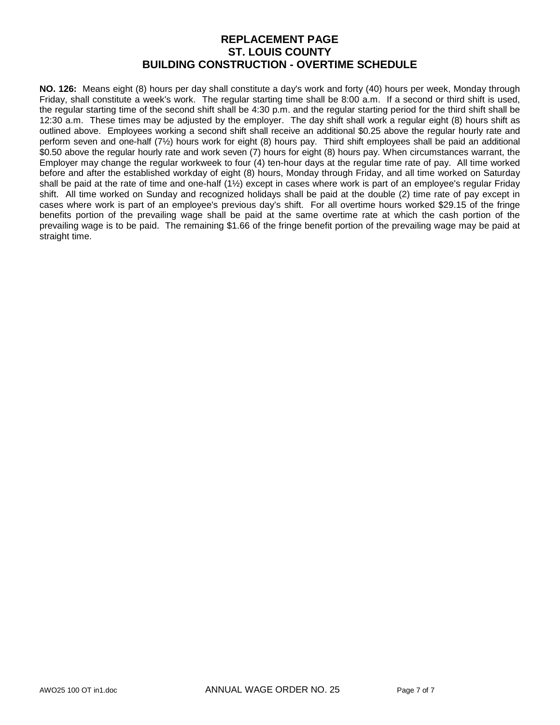**NO. 126:** Means eight (8) hours per day shall constitute a day's work and forty (40) hours per week, Monday through Friday, shall constitute a week's work. The regular starting time shall be 8:00 a.m. If a second or third shift is used, the regular starting time of the second shift shall be 4:30 p.m. and the regular starting period for the third shift shall be 12:30 a.m. These times may be adjusted by the employer. The day shift shall work a regular eight (8) hours shift as outlined above. Employees working a second shift shall receive an additional \$0.25 above the regular hourly rate and perform seven and one-half (7½) hours work for eight (8) hours pay. Third shift employees shall be paid an additional \$0.50 above the regular hourly rate and work seven (7) hours for eight (8) hours pay. When circumstances warrant, the Employer may change the regular workweek to four (4) ten-hour days at the regular time rate of pay. All time worked before and after the established workday of eight (8) hours, Monday through Friday, and all time worked on Saturday shall be paid at the rate of time and one-half (1½) except in cases where work is part of an employee's regular Friday shift. All time worked on Sunday and recognized holidays shall be paid at the double (2) time rate of pay except in cases where work is part of an employee's previous day's shift. For all overtime hours worked \$29.15 of the fringe benefits portion of the prevailing wage shall be paid at the same overtime rate at which the cash portion of the prevailing wage is to be paid. The remaining \$1.66 of the fringe benefit portion of the prevailing wage may be paid at straight time.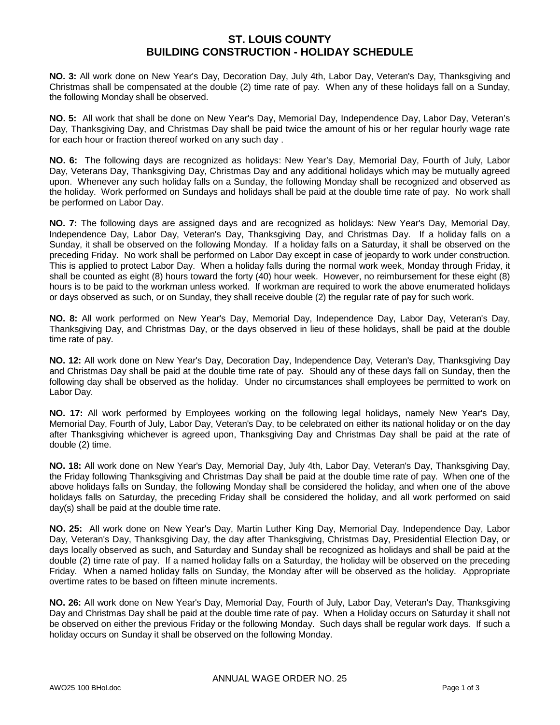#### **ST. LOUIS COUNTY BUILDING CONSTRUCTION - HOLIDAY SCHEDULE**

**NO. 3:** All work done on New Year's Day, Decoration Day, July 4th, Labor Day, Veteran's Day, Thanksgiving and Christmas shall be compensated at the double (2) time rate of pay. When any of these holidays fall on a Sunday, the following Monday shall be observed.

**NO. 5:** All work that shall be done on New Year's Day, Memorial Day, Independence Day, Labor Day, Veteran's Day, Thanksgiving Day, and Christmas Day shall be paid twice the amount of his or her regular hourly wage rate for each hour or fraction thereof worked on any such day .

**NO. 6:** The following days are recognized as holidays: New Year's Day, Memorial Day, Fourth of July, Labor Day, Veterans Day, Thanksgiving Day, Christmas Day and any additional holidays which may be mutually agreed upon. Whenever any such holiday falls on a Sunday, the following Monday shall be recognized and observed as the holiday. Work performed on Sundays and holidays shall be paid at the double time rate of pay. No work shall be performed on Labor Day.

**NO. 7:** The following days are assigned days and are recognized as holidays: New Year's Day, Memorial Day, Independence Day, Labor Day, Veteran's Day, Thanksgiving Day, and Christmas Day. If a holiday falls on a Sunday, it shall be observed on the following Monday. If a holiday falls on a Saturday, it shall be observed on the preceding Friday. No work shall be performed on Labor Day except in case of jeopardy to work under construction. This is applied to protect Labor Day. When a holiday falls during the normal work week, Monday through Friday, it shall be counted as eight (8) hours toward the forty (40) hour week. However, no reimbursement for these eight (8) hours is to be paid to the workman unless worked. If workman are required to work the above enumerated holidays or days observed as such, or on Sunday, they shall receive double (2) the regular rate of pay for such work.

**NO. 8:** All work performed on New Year's Day, Memorial Day, Independence Day, Labor Day, Veteran's Day, Thanksgiving Day, and Christmas Day, or the days observed in lieu of these holidays, shall be paid at the double time rate of pay.

**NO. 12:** All work done on New Year's Day, Decoration Day, Independence Day, Veteran's Day, Thanksgiving Day and Christmas Day shall be paid at the double time rate of pay. Should any of these days fall on Sunday, then the following day shall be observed as the holiday. Under no circumstances shall employees be permitted to work on Labor Day.

**NO. 17:** All work performed by Employees working on the following legal holidays, namely New Year's Day, Memorial Day, Fourth of July, Labor Day, Veteran's Day, to be celebrated on either its national holiday or on the day after Thanksgiving whichever is agreed upon, Thanksgiving Day and Christmas Day shall be paid at the rate of double (2) time.

**NO. 18:** All work done on New Year's Day, Memorial Day, July 4th, Labor Day, Veteran's Day, Thanksgiving Day, the Friday following Thanksgiving and Christmas Day shall be paid at the double time rate of pay. When one of the above holidays falls on Sunday, the following Monday shall be considered the holiday, and when one of the above holidays falls on Saturday, the preceding Friday shall be considered the holiday, and all work performed on said day(s) shall be paid at the double time rate.

**NO. 25:** All work done on New Year's Day, Martin Luther King Day, Memorial Day, Independence Day, Labor Day, Veteran's Day, Thanksgiving Day, the day after Thanksgiving, Christmas Day, Presidential Election Day, or days locally observed as such, and Saturday and Sunday shall be recognized as holidays and shall be paid at the double (2) time rate of pay. If a named holiday falls on a Saturday, the holiday will be observed on the preceding Friday. When a named holiday falls on Sunday, the Monday after will be observed as the holiday. Appropriate overtime rates to be based on fifteen minute increments.

**NO. 26:** All work done on New Year's Day, Memorial Day, Fourth of July, Labor Day, Veteran's Day, Thanksgiving Day and Christmas Day shall be paid at the double time rate of pay. When a Holiday occurs on Saturday it shall not be observed on either the previous Friday or the following Monday. Such days shall be regular work days. If such a holiday occurs on Sunday it shall be observed on the following Monday.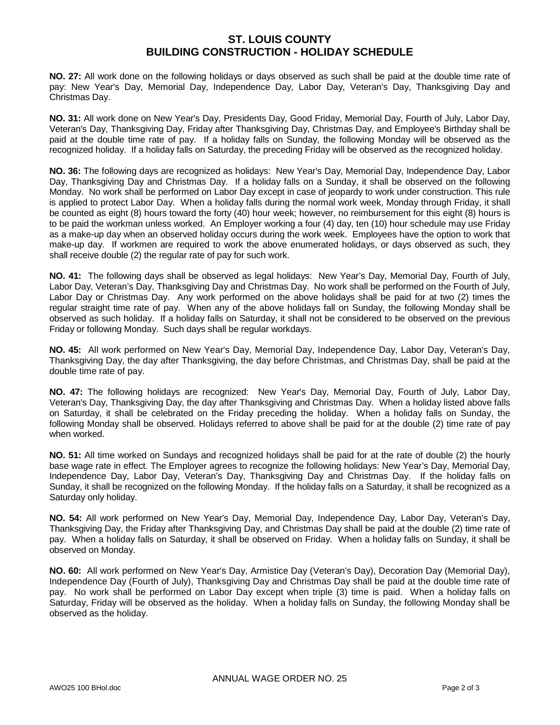#### **ST. LOUIS COUNTY BUILDING CONSTRUCTION - HOLIDAY SCHEDULE**

**NO. 27:** All work done on the following holidays or days observed as such shall be paid at the double time rate of pay: New Year's Day, Memorial Day, Independence Day, Labor Day, Veteran's Day, Thanksgiving Day and Christmas Day.

**NO. 31:** All work done on New Year's Day, Presidents Day, Good Friday, Memorial Day, Fourth of July, Labor Day, Veteran's Day, Thanksgiving Day, Friday after Thanksgiving Day, Christmas Day, and Employee's Birthday shall be paid at the double time rate of pay. If a holiday falls on Sunday, the following Monday will be observed as the recognized holiday. If a holiday falls on Saturday, the preceding Friday will be observed as the recognized holiday.

**NO. 36:** The following days are recognized as holidays: New Year's Day, Memorial Day, Independence Day, Labor Day, Thanksgiving Day and Christmas Day. If a holiday falls on a Sunday, it shall be observed on the following Monday. No work shall be performed on Labor Day except in case of jeopardy to work under construction. This rule is applied to protect Labor Day. When a holiday falls during the normal work week, Monday through Friday, it shall be counted as eight (8) hours toward the forty (40) hour week; however, no reimbursement for this eight (8) hours is to be paid the workman unless worked. An Employer working a four (4) day, ten (10) hour schedule may use Friday as a make-up day when an observed holiday occurs during the work week. Employees have the option to work that make-up day. If workmen are required to work the above enumerated holidays, or days observed as such, they shall receive double (2) the regular rate of pay for such work.

**NO. 41:** The following days shall be observed as legal holidays: New Year's Day, Memorial Day, Fourth of July, Labor Day, Veteran's Day, Thanksgiving Day and Christmas Day. No work shall be performed on the Fourth of July, Labor Day or Christmas Day. Any work performed on the above holidays shall be paid for at two (2) times the regular straight time rate of pay. When any of the above holidays fall on Sunday, the following Monday shall be observed as such holiday. If a holiday falls on Saturday, it shall not be considered to be observed on the previous Friday or following Monday. Such days shall be regular workdays.

**NO. 45:** All work performed on New Year's Day, Memorial Day, Independence Day, Labor Day, Veteran's Day, Thanksgiving Day, the day after Thanksgiving, the day before Christmas, and Christmas Day, shall be paid at the double time rate of pay.

**NO. 47:** The following holidays are recognized: New Year's Day, Memorial Day, Fourth of July, Labor Day, Veteran's Day, Thanksgiving Day, the day after Thanksgiving and Christmas Day. When a holiday listed above falls on Saturday, it shall be celebrated on the Friday preceding the holiday. When a holiday falls on Sunday, the following Monday shall be observed. Holidays referred to above shall be paid for at the double (2) time rate of pay when worked.

**NO. 51:** All time worked on Sundays and recognized holidays shall be paid for at the rate of double (2) the hourly base wage rate in effect. The Employer agrees to recognize the following holidays: New Year's Day, Memorial Day, Independence Day, Labor Day, Veteran's Day, Thanksgiving Day and Christmas Day. If the holiday falls on Sunday, it shall be recognized on the following Monday. If the holiday falls on a Saturday, it shall be recognized as a Saturday only holiday.

**NO. 54:** All work performed on New Year's Day, Memorial Day, Independence Day, Labor Day, Veteran's Day, Thanksgiving Day, the Friday after Thanksgiving Day, and Christmas Day shall be paid at the double (2) time rate of pay. When a holiday falls on Saturday, it shall be observed on Friday. When a holiday falls on Sunday, it shall be observed on Monday.

**NO. 60:** All work performed on New Year's Day, Armistice Day (Veteran's Day), Decoration Day (Memorial Day), Independence Day (Fourth of July), Thanksgiving Day and Christmas Day shall be paid at the double time rate of pay. No work shall be performed on Labor Day except when triple (3) time is paid. When a holiday falls on Saturday, Friday will be observed as the holiday. When a holiday falls on Sunday, the following Monday shall be observed as the holiday.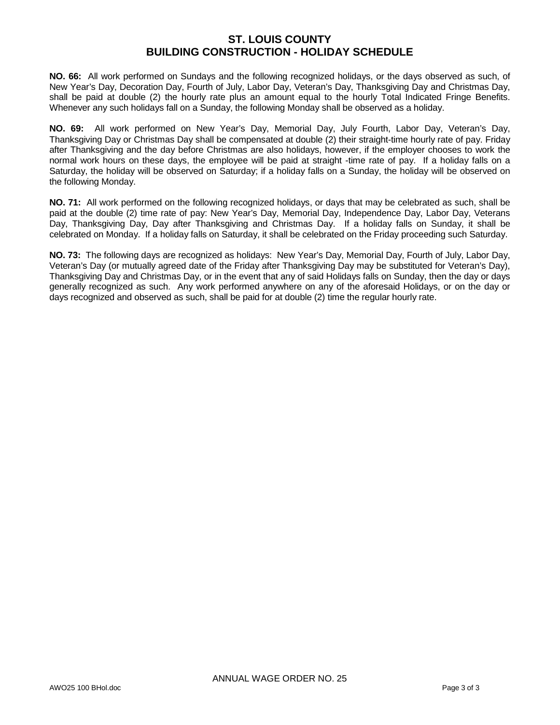#### **ST. LOUIS COUNTY BUILDING CONSTRUCTION - HOLIDAY SCHEDULE**

**NO. 66:** All work performed on Sundays and the following recognized holidays, or the days observed as such, of New Year's Day, Decoration Day, Fourth of July, Labor Day, Veteran's Day, Thanksgiving Day and Christmas Day, shall be paid at double (2) the hourly rate plus an amount equal to the hourly Total Indicated Fringe Benefits. Whenever any such holidays fall on a Sunday, the following Monday shall be observed as a holiday.

**NO. 69:** All work performed on New Year's Day, Memorial Day, July Fourth, Labor Day, Veteran's Day, Thanksgiving Day or Christmas Day shall be compensated at double (2) their straight-time hourly rate of pay. Friday after Thanksgiving and the day before Christmas are also holidays, however, if the employer chooses to work the normal work hours on these days, the employee will be paid at straight -time rate of pay. If a holiday falls on a Saturday, the holiday will be observed on Saturday; if a holiday falls on a Sunday, the holiday will be observed on the following Monday.

**NO. 71:** All work performed on the following recognized holidays, or days that may be celebrated as such, shall be paid at the double (2) time rate of pay: New Year's Day, Memorial Day, Independence Day, Labor Day, Veterans Day, Thanksgiving Day, Day after Thanksgiving and Christmas Day. If a holiday falls on Sunday, it shall be celebrated on Monday. If a holiday falls on Saturday, it shall be celebrated on the Friday proceeding such Saturday.

**NO. 73:** The following days are recognized as holidays: New Year's Day, Memorial Day, Fourth of July, Labor Day, Veteran's Day (or mutually agreed date of the Friday after Thanksgiving Day may be substituted for Veteran's Day), Thanksgiving Day and Christmas Day, or in the event that any of said Holidays falls on Sunday, then the day or days generally recognized as such. Any work performed anywhere on any of the aforesaid Holidays, or on the day or days recognized and observed as such, shall be paid for at double (2) time the regular hourly rate.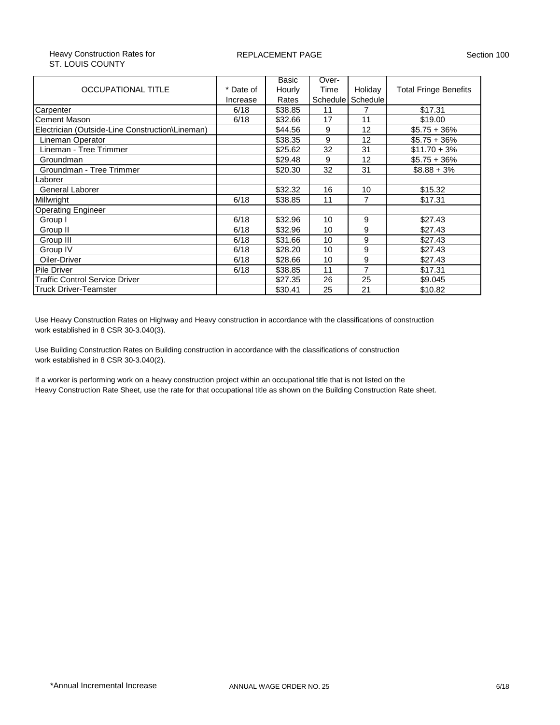#### Heavy Construction Rates for ST. LOUIS COUNTY

#### REPLACEMENT PAGE Section 100

|                                                 |           | Basic   | Over-    |                |                              |
|-------------------------------------------------|-----------|---------|----------|----------------|------------------------------|
| <b>OCCUPATIONAL TITLE</b>                       | * Date of | Hourly  | Time     | Holiday        | <b>Total Fringe Benefits</b> |
|                                                 | Increase  | Rates   | Schedule | Schedule       |                              |
| Carpenter                                       | 6/18      | \$38.85 | 11       |                | \$17.31                      |
| Cement Mason                                    | 6/18      | \$32.66 | 17       | 11             | \$19.00                      |
| Electrician (Outside-Line Construction\Lineman) |           | \$44.56 | 9        | 12             | $$5.75 + 36\%$               |
| Lineman Operator                                |           | \$38.35 | 9        | 12             | $$5.75 + 36\%$               |
| Lineman - Tree Trimmer                          |           | \$25.62 | 32       | 31             | $$11.70 + 3\%$               |
| Groundman                                       |           | \$29.48 | 9        | 12             | $$5.75 + 36\%$               |
| Groundman - Tree Trimmer                        |           | \$20.30 | 32       | 31             | $$8.88 + 3\%$                |
| Laborer                                         |           |         |          |                |                              |
| <b>General Laborer</b>                          |           | \$32.32 | 16       | 10             | \$15.32                      |
| Millwright                                      | 6/18      | \$38.85 | 11       | $\overline{7}$ | \$17.31                      |
| <b>Operating Engineer</b>                       |           |         |          |                |                              |
| Group I                                         | 6/18      | \$32.96 | 10       | 9              | \$27.43                      |
| Group II                                        | 6/18      | \$32.96 | 10       | 9              | \$27.43                      |
| Group III                                       | 6/18      | \$31.66 | 10       | 9              | \$27.43                      |
| Group IV                                        | 6/18      | \$28.20 | 10       | 9              | \$27.43                      |
| Oiler-Driver                                    | 6/18      | \$28.66 | 10       | 9              | \$27.43                      |
| <b>Pile Driver</b>                              | 6/18      | \$38.85 | 11       | $\overline{7}$ | \$17.31                      |
| Traffic Control Service Driver                  |           | \$27.35 | 26       | 25             | \$9.045                      |
| Truck Driver-Teamster                           |           | \$30.41 | 25       | 21             | \$10.82                      |

Use Heavy Construction Rates on Highway and Heavy construction in accordance with the classifications of construction work established in 8 CSR 30-3.040(3).

Use Building Construction Rates on Building construction in accordance with the classifications of construction work established in 8 CSR 30-3.040(2).

If a worker is performing work on a heavy construction project within an occupational title that is not listed on the Heavy Construction Rate Sheet, use the rate for that occupational title as shown on the Building Construction Rate sheet.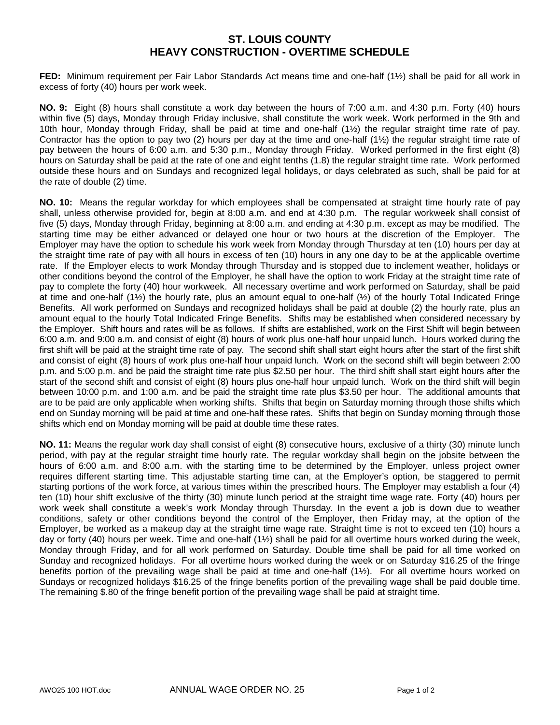## **ST. LOUIS COUNTY HEAVY CONSTRUCTION - OVERTIME SCHEDULE**

**FED:** Minimum requirement per Fair Labor Standards Act means time and one-half (1½) shall be paid for all work in excess of forty (40) hours per work week.

**NO. 9:** Eight (8) hours shall constitute a work day between the hours of 7:00 a.m. and 4:30 p.m. Forty (40) hours within five (5) days, Monday through Friday inclusive, shall constitute the work week. Work performed in the 9th and 10th hour, Monday through Friday, shall be paid at time and one-half (1½) the regular straight time rate of pay. Contractor has the option to pay two  $(2)$  hours per day at the time and one-half  $(1\frac{1}{2})$  the regular straight time rate of pay between the hours of 6:00 a.m. and 5:30 p.m., Monday through Friday. Worked performed in the first eight (8) hours on Saturday shall be paid at the rate of one and eight tenths (1.8) the regular straight time rate. Work performed outside these hours and on Sundays and recognized legal holidays, or days celebrated as such, shall be paid for at the rate of double (2) time.

**NO. 10:** Means the regular workday for which employees shall be compensated at straight time hourly rate of pay shall, unless otherwise provided for, begin at 8:00 a.m. and end at 4:30 p.m. The regular workweek shall consist of five (5) days, Monday through Friday, beginning at 8:00 a.m. and ending at 4:30 p.m. except as may be modified. The starting time may be either advanced or delayed one hour or two hours at the discretion of the Employer. The Employer may have the option to schedule his work week from Monday through Thursday at ten (10) hours per day at the straight time rate of pay with all hours in excess of ten (10) hours in any one day to be at the applicable overtime rate. If the Employer elects to work Monday through Thursday and is stopped due to inclement weather, holidays or other conditions beyond the control of the Employer, he shall have the option to work Friday at the straight time rate of pay to complete the forty (40) hour workweek. All necessary overtime and work performed on Saturday, shall be paid at time and one-half  $(1/2)$  the hourly rate, plus an amount equal to one-half  $(1/2)$  of the hourly Total Indicated Fringe Benefits. All work performed on Sundays and recognized holidays shall be paid at double (2) the hourly rate, plus an amount equal to the hourly Total Indicated Fringe Benefits. Shifts may be established when considered necessary by the Employer. Shift hours and rates will be as follows. If shifts are established, work on the First Shift will begin between 6:00 a.m. and 9:00 a.m. and consist of eight (8) hours of work plus one-half hour unpaid lunch. Hours worked during the first shift will be paid at the straight time rate of pay. The second shift shall start eight hours after the start of the first shift and consist of eight (8) hours of work plus one-half hour unpaid lunch. Work on the second shift will begin between 2:00 p.m. and 5:00 p.m. and be paid the straight time rate plus \$2.50 per hour. The third shift shall start eight hours after the start of the second shift and consist of eight (8) hours plus one-half hour unpaid lunch. Work on the third shift will begin between 10:00 p.m. and 1:00 a.m. and be paid the straight time rate plus \$3.50 per hour. The additional amounts that are to be paid are only applicable when working shifts. Shifts that begin on Saturday morning through those shifts which end on Sunday morning will be paid at time and one-half these rates. Shifts that begin on Sunday morning through those shifts which end on Monday morning will be paid at double time these rates.

**NO. 11:** Means the regular work day shall consist of eight (8) consecutive hours, exclusive of a thirty (30) minute lunch period, with pay at the regular straight time hourly rate. The regular workday shall begin on the jobsite between the hours of 6:00 a.m. and 8:00 a.m. with the starting time to be determined by the Employer, unless project owner requires different starting time. This adjustable starting time can, at the Employer's option, be staggered to permit starting portions of the work force, at various times within the prescribed hours. The Employer may establish a four (4) ten (10) hour shift exclusive of the thirty (30) minute lunch period at the straight time wage rate. Forty (40) hours per work week shall constitute a week's work Monday through Thursday. In the event a job is down due to weather conditions, safety or other conditions beyond the control of the Employer, then Friday may, at the option of the Employer, be worked as a makeup day at the straight time wage rate. Straight time is not to exceed ten (10) hours a day or forty (40) hours per week. Time and one-half (1½) shall be paid for all overtime hours worked during the week, Monday through Friday, and for all work performed on Saturday. Double time shall be paid for all time worked on Sunday and recognized holidays. For all overtime hours worked during the week or on Saturday \$16.25 of the fringe benefits portion of the prevailing wage shall be paid at time and one-half (1½). For all overtime hours worked on Sundays or recognized holidays \$16.25 of the fringe benefits portion of the prevailing wage shall be paid double time. The remaining \$.80 of the fringe benefit portion of the prevailing wage shall be paid at straight time.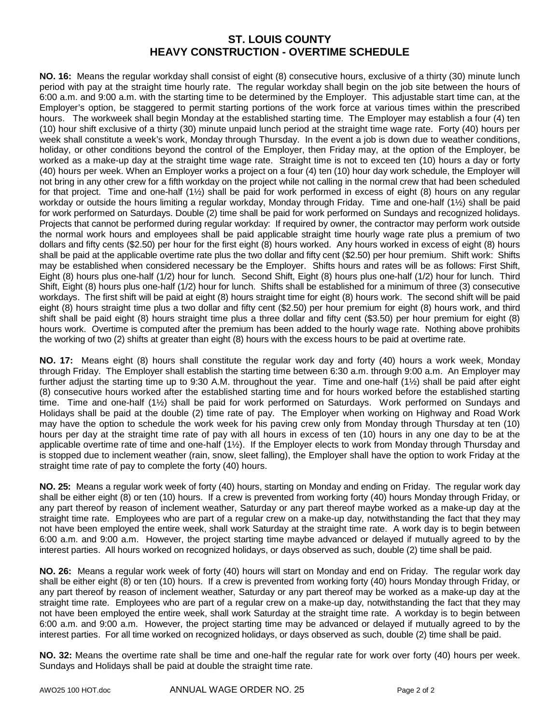# **ST. LOUIS COUNTY HEAVY CONSTRUCTION - OVERTIME SCHEDULE**

**NO. 16:** Means the regular workday shall consist of eight (8) consecutive hours, exclusive of a thirty (30) minute lunch period with pay at the straight time hourly rate. The regular workday shall begin on the job site between the hours of 6:00 a.m. and 9:00 a.m. with the starting time to be determined by the Employer. This adjustable start time can, at the Employer's option, be staggered to permit starting portions of the work force at various times within the prescribed hours. The workweek shall begin Monday at the established starting time. The Employer may establish a four (4) ten (10) hour shift exclusive of a thirty (30) minute unpaid lunch period at the straight time wage rate. Forty (40) hours per week shall constitute a week's work, Monday through Thursday. In the event a job is down due to weather conditions, holiday, or other conditions beyond the control of the Employer, then Friday may, at the option of the Employer, be worked as a make-up day at the straight time wage rate. Straight time is not to exceed ten (10) hours a day or forty (40) hours per week. When an Employer works a project on a four (4) ten (10) hour day work schedule, the Employer will not bring in any other crew for a fifth workday on the project while not calling in the normal crew that had been scheduled for that project. Time and one-half (1½) shall be paid for work performed in excess of eight (8) hours on any regular workday or outside the hours limiting a regular workday, Monday through Friday. Time and one-half (1½) shall be paid for work performed on Saturdays. Double (2) time shall be paid for work performed on Sundays and recognized holidays. Projects that cannot be performed during regular workday: If required by owner, the contractor may perform work outside the normal work hours and employees shall be paid applicable straight time hourly wage rate plus a premium of two dollars and fifty cents (\$2.50) per hour for the first eight (8) hours worked. Any hours worked in excess of eight (8) hours shall be paid at the applicable overtime rate plus the two dollar and fifty cent (\$2.50) per hour premium. Shift work: Shifts may be established when considered necessary be the Employer. Shifts hours and rates will be as follows: First Shift, Eight (8) hours plus one-half (1/2) hour for lunch. Second Shift, Eight (8) hours plus one-half (1/2) hour for lunch. Third Shift, Eight (8) hours plus one-half (1/2) hour for lunch. Shifts shall be established for a minimum of three (3) consecutive workdays. The first shift will be paid at eight (8) hours straight time for eight (8) hours work. The second shift will be paid eight (8) hours straight time plus a two dollar and fifty cent (\$2.50) per hour premium for eight (8) hours work, and third shift shall be paid eight (8) hours straight time plus a three dollar and fifty cent (\$3.50) per hour premium for eight (8) hours work. Overtime is computed after the premium has been added to the hourly wage rate. Nothing above prohibits the working of two (2) shifts at greater than eight (8) hours with the excess hours to be paid at overtime rate.

**NO. 17:** Means eight (8) hours shall constitute the regular work day and forty (40) hours a work week, Monday through Friday. The Employer shall establish the starting time between 6:30 a.m. through 9:00 a.m. An Employer may further adjust the starting time up to 9:30 A.M. throughout the year. Time and one-half (1½) shall be paid after eight (8) consecutive hours worked after the established starting time and for hours worked before the established starting time. Time and one-half (1½) shall be paid for work performed on Saturdays. Work performed on Sundays and Holidays shall be paid at the double (2) time rate of pay. The Employer when working on Highway and Road Work may have the option to schedule the work week for his paving crew only from Monday through Thursday at ten (10) hours per day at the straight time rate of pay with all hours in excess of ten (10) hours in any one day to be at the applicable overtime rate of time and one-half (1½). If the Employer elects to work from Monday through Thursday and is stopped due to inclement weather (rain, snow, sleet falling), the Employer shall have the option to work Friday at the straight time rate of pay to complete the forty (40) hours.

**NO. 25:** Means a regular work week of forty (40) hours, starting on Monday and ending on Friday. The regular work day shall be either eight (8) or ten (10) hours. If a crew is prevented from working forty (40) hours Monday through Friday, or any part thereof by reason of inclement weather, Saturday or any part thereof maybe worked as a make-up day at the straight time rate. Employees who are part of a regular crew on a make-up day, notwithstanding the fact that they may not have been employed the entire week, shall work Saturday at the straight time rate. A work day is to begin between 6:00 a.m. and 9:00 a.m. However, the project starting time maybe advanced or delayed if mutually agreed to by the interest parties. All hours worked on recognized holidays, or days observed as such, double (2) time shall be paid.

**NO. 26:** Means a regular work week of forty (40) hours will start on Monday and end on Friday. The regular work day shall be either eight (8) or ten (10) hours. If a crew is prevented from working forty (40) hours Monday through Friday, or any part thereof by reason of inclement weather, Saturday or any part thereof may be worked as a make-up day at the straight time rate. Employees who are part of a regular crew on a make-up day, notwithstanding the fact that they may not have been employed the entire week, shall work Saturday at the straight time rate. A workday is to begin between 6:00 a.m. and 9:00 a.m. However, the project starting time may be advanced or delayed if mutually agreed to by the interest parties. For all time worked on recognized holidays, or days observed as such, double (2) time shall be paid.

**NO. 32:** Means the overtime rate shall be time and one-half the regular rate for work over forty (40) hours per week. Sundays and Holidays shall be paid at double the straight time rate.